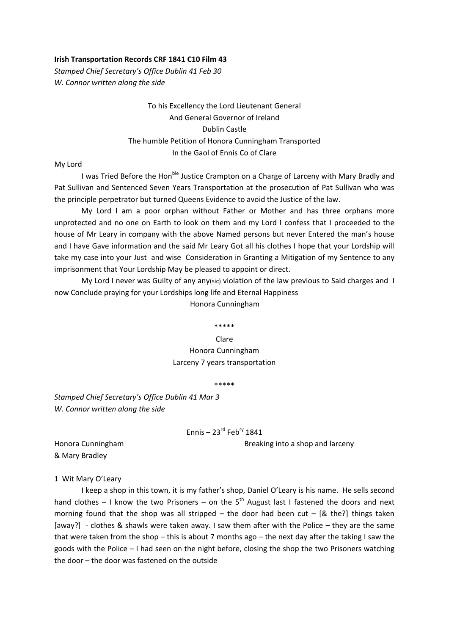## **Irish Transportation Records CRF 1841 C10 Film 43**

*Stamped Chief Secretary's Office Dublin 41 Feb 30 W. Connor written along the side*

> To his Excellency the Lord Lieutenant General And General Governor of Ireland Dublin Castle The humble Petition of Honora Cunningham Transported In the Gaol of Ennis Co of Clare

My Lord

I was Tried Before the Hon<sup>ble</sup> Justice Crampton on a Charge of Larceny with Mary Bradly and Pat Sullivan and Sentenced Seven Years Transportation at the prosecution of Pat Sullivan who was the principle perpetrator but turned Queens Evidence to avoid the Justice of the law.

My Lord I am a poor orphan without Father or Mother and has three orphans more unprotected and no one on Earth to look on them and my Lord I confess that I proceeded to the house of Mr Leary in company with the above Named persons but never Entered the man's house and I have Gave information and the said Mr Leary Got all his clothes I hope that your Lordship will take my case into your Just and wise Consideration in Granting a Mitigation of my Sentence to any imprisonment that Your Lordship May be pleased to appoint or direct.

My Lord I never was Guilty of any any(sic) violation of the law previous to Said charges and I now Conclude praying for your Lordships long life and Eternal Happiness

Honora Cunningham

#### \*\*\*\*\*

Clare Honora Cunningham Larceny 7 years transportation

\*\*\*\*\*

*Stamped Chief Secretary's Office Dublin 41 Mar 3 W. Connor written along the side*

Ennis –  $23^{\text{rd}}$  Feb<sup>ry</sup> 1841

Honora Cunningham **Breaking into a shop and larceny** 

& Mary Bradley

1 Wit Mary O'Leary

I keep a shop in this town, it is my father's shop, Daniel O'Leary is his name. He sells second hand clothes – I know the two Prisoners – on the  $5<sup>th</sup>$  August last I fastened the doors and next morning found that the shop was all stripped – the door had been cut – [& the?] things taken [away?] - clothes & shawls were taken away. I saw them after with the Police – they are the same that were taken from the shop – this is about 7 months ago – the next day after the taking I saw the goods with the Police – I had seen on the night before, closing the shop the two Prisoners watching the door – the door was fastened on the outside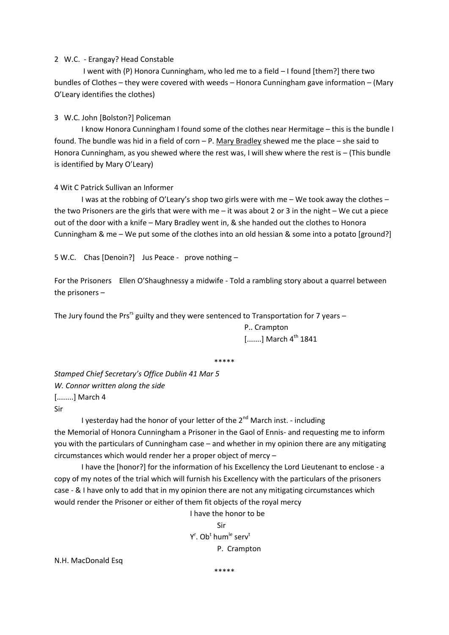## 2 W.C. - Erangay? Head Constable

I went with (P) Honora Cunningham, who led me to a field – I found [them?] there two bundles of Clothes – they were covered with weeds – Honora Cunningham gave information – (Mary O'Leary identifies the clothes)

# 3 W.C. John [Bolston?] Policeman

I know Honora Cunningham I found some of the clothes near Hermitage – this is the bundle I found. The bundle was hid in a field of corn – P. Mary Bradley shewed me the place – she said to Honora Cunningham, as you shewed where the rest was, I will shew where the rest is – (This bundle is identified by Mary O'Leary)

## 4 Wit C Patrick Sullivan an Informer

I was at the robbing of O'Leary's shop two girls were with me – We took away the clothes – the two Prisoners are the girls that were with me – it was about 2 or 3 in the night – We cut a piece out of the door with a knife – Mary Bradley went in, & she handed out the clothes to Honora Cunningham & me – We put some of the clothes into an old hessian & some into a potato [ground?]

5 W.C. Chas [Denoin?] Jus Peace - prove nothing –

For the Prisoners Ellen O'Shaughnessy a midwife - Told a rambling story about a quarrel between the prisoners –

The Jury found the Prs<sup>rs</sup> guilty and they were sentenced to Transportation for 7 years -

P.. Crampton  $[......]$  March  $4<sup>th</sup> 1841$ 

\*\*\*\*\*

*Stamped Chief Secretary's Office Dublin 41 Mar 5 W. Connor written along the side* [........] March 4 Sir

I yesterday had the honor of your letter of the  $2^{nd}$  March inst. - including

the Memorial of Honora Cunningham a Prisoner in the Gaol of Ennis- and requesting me to inform you with the particulars of Cunningham case – and whether in my opinion there are any mitigating circumstances which would render her a proper object of mercy –

I have the [honor?] for the information of his Excellency the Lord Lieutenant to enclose - a copy of my notes of the trial which will furnish his Excellency with the particulars of the prisoners case - & I have only to add that in my opinion there are not any mitigating circumstances which would render the Prisoner or either of them fit objects of the royal mercy

 I have the honor to be Sir Y<sup>r</sup>. Ob<sup>t</sup> hum<sup>le</sup> serv<sup>t</sup> P. Crampton

N.H. MacDonald Esq

\*\*\*\*\*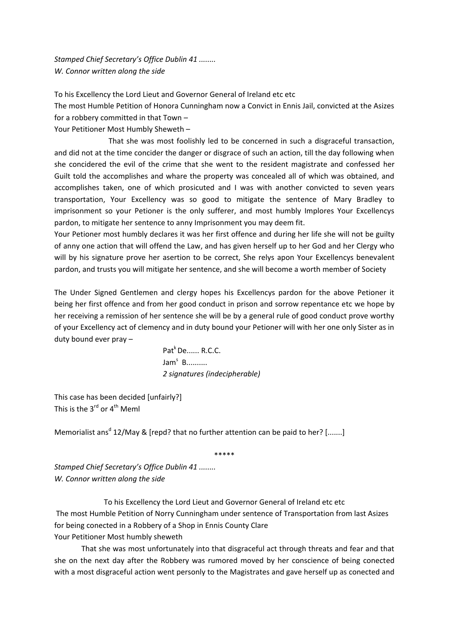*Stamped Chief Secretary's Office Dublin 41 ........ W. Connor written along the side*

To his Excellency the Lord Lieut and Governor General of Ireland etc etc

The most Humble Petition of Honora Cunningham now a Convict in Ennis Jail, convicted at the Asizes for a robbery committed in that Town –

Your Petitioner Most Humbly Sheweth –

That she was most foolishly led to be concerned in such a disgraceful transaction, and did not at the time concider the danger or disgrace of such an action, till the day following when she concidered the evil of the crime that she went to the resident magistrate and confessed her Guilt told the accomplishes and whare the property was concealed all of which was obtained, and accomplishes taken, one of which prosicuted and I was with another convicted to seven years transportation, Your Excellency was so good to mitigate the sentence of Mary Bradley to imprisonment so your Petioner is the only sufferer, and most humbly Implores Your Excellencys pardon, to mitigate her sentence to anny Imprisonment you may deem fit.

Your Petioner most humbly declares it was her first offence and during her life she will not be guilty of anny one action that will offend the Law, and has given herself up to her God and her Clergy who will by his signature prove her asertion to be correct, She relys apon Your Excellencys benevalent pardon, and trusts you will mitigate her sentence, and she will become a worth member of Society

The Under Signed Gentlemen and clergy hopes his Excellencys pardon for the above Petioner it being her first offence and from her good conduct in prison and sorrow repentance etc we hope by her receiving a remission of her sentence she will be by a general rule of good conduct prove worthy of your Excellency act of clemency and in duty bound your Petioner will with her one only Sister as in duty bound ever pray –

> Pat<sup>k</sup> De...... R.C.C. Jam<sup>s</sup> B.......... *2 signatures (indecipherable)*

This case has been decided [unfairly?] This is the  $3^{rd}$  or  $4^{th}$  Meml

Memorialist ans<sup>d</sup> 12/May & [repd? that no further attention can be paid to her? [.......]

\*\*\*\*\*

*Stamped Chief Secretary's Office Dublin 41 ........ W. Connor written along the side*

To his Excellency the Lord Lieut and Governor General of Ireland etc etc The most Humble Petition of Norry Cunningham under sentence of Transportation from last Asizes for being conected in a Robbery of a Shop in Ennis County Clare Your Petitioner Most humbly sheweth

That she was most unfortunately into that disgraceful act through threats and fear and that she on the next day after the Robbery was rumored moved by her conscience of being conected with a most disgraceful action went personly to the Magistrates and gave herself up as conected and